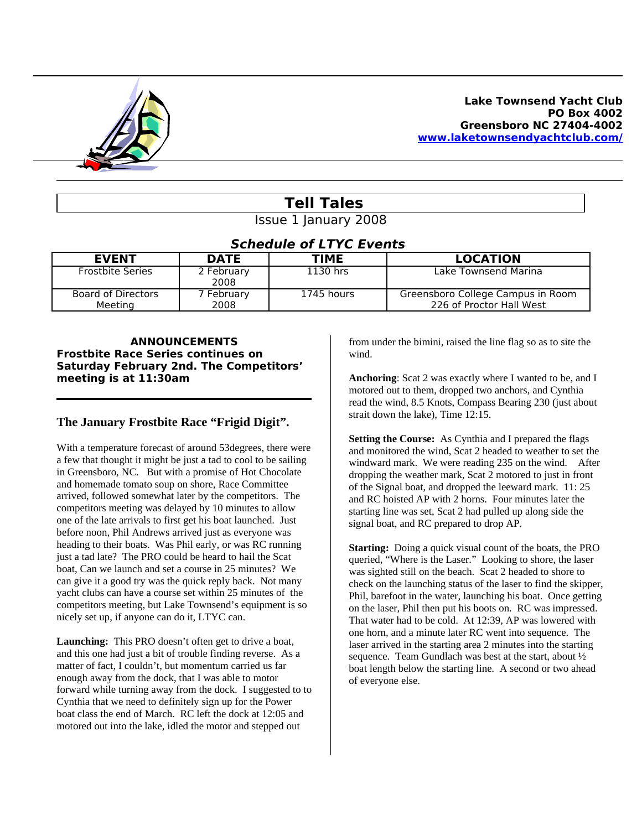

# **Tell Tales**

Issue 1 January 2008

## **Schedule of LTYC Events**

| <b>EVENT</b>                  | <b>DATE</b>        | <b>TIME</b> | <b>LOCATION</b>                                               |
|-------------------------------|--------------------|-------------|---------------------------------------------------------------|
| <b>Frostbite Series</b>       | 2 February<br>2008 | 1130 hrs    | Lake Townsend Marina                                          |
| Board of Directors<br>Meeting | February<br>2008   | 1745 hours  | Greensboro College Campus in Room<br>226 of Proctor Hall West |

#### **ANNOUNCEMENTS Frostbite Race Series continues on Saturday February 2nd. The Competitors' meeting is at 11:30am**

# **The January Frostbite Race "Frigid Digit".**

With a temperature forecast of around 53degrees, there were a few that thought it might be just a tad to cool to be sailing in Greensboro, NC. But with a promise of Hot Chocolate and homemade tomato soup on shore, Race Committee arrived, followed somewhat later by the competitors. The competitors meeting was delayed by 10 minutes to allow one of the late arrivals to first get his boat launched. Just before noon, Phil Andrews arrived just as everyone was heading to their boats. Was Phil early, or was RC running just a tad late? The PRO could be heard to hail the Scat boat, Can we launch and set a course in 25 minutes? We can give it a good try was the quick reply back. Not many yacht clubs can have a course set within 25 minutes of the competitors meeting, but Lake Townsend's equipment is so nicely set up, if anyone can do it, LTYC can.

**Launching:** This PRO doesn't often get to drive a boat, and this one had just a bit of trouble finding reverse. As a matter of fact, I couldn't, but momentum carried us far enough away from the dock, that I was able to motor forward while turning away from the dock. I suggested to to Cynthia that we need to definitely sign up for the Power boat class the end of March. RC left the dock at 12:05 and motored out into the lake, idled the motor and stepped out

from under the bimini, raised the line flag so as to site the wind.

**Anchoring**: Scat 2 was exactly where I wanted to be, and I motored out to them, dropped two anchors, and Cynthia read the wind, 8.5 Knots, Compass Bearing 230 (just about strait down the lake), Time 12:15.

**Setting the Course:** As Cynthia and I prepared the flags and monitored the wind, Scat 2 headed to weather to set the windward mark. We were reading 235 on the wind. After dropping the weather mark, Scat 2 motored to just in front of the Signal boat, and dropped the leeward mark. 11: 25 and RC hoisted AP with 2 horns. Four minutes later the starting line was set, Scat 2 had pulled up along side the signal boat, and RC prepared to drop AP.

**Starting:** Doing a quick visual count of the boats, the PRO queried, "Where is the Laser." Looking to shore, the laser was sighted still on the beach. Scat 2 headed to shore to check on the launching status of the laser to find the skipper, Phil, barefoot in the water, launching his boat. Once getting on the laser, Phil then put his boots on. RC was impressed. That water had to be cold. At 12:39, AP was lowered with one horn, and a minute later RC went into sequence. The laser arrived in the starting area 2 minutes into the starting sequence. Team Gundlach was best at the start, about ½ boat length below the starting line. A second or two ahead of everyone else.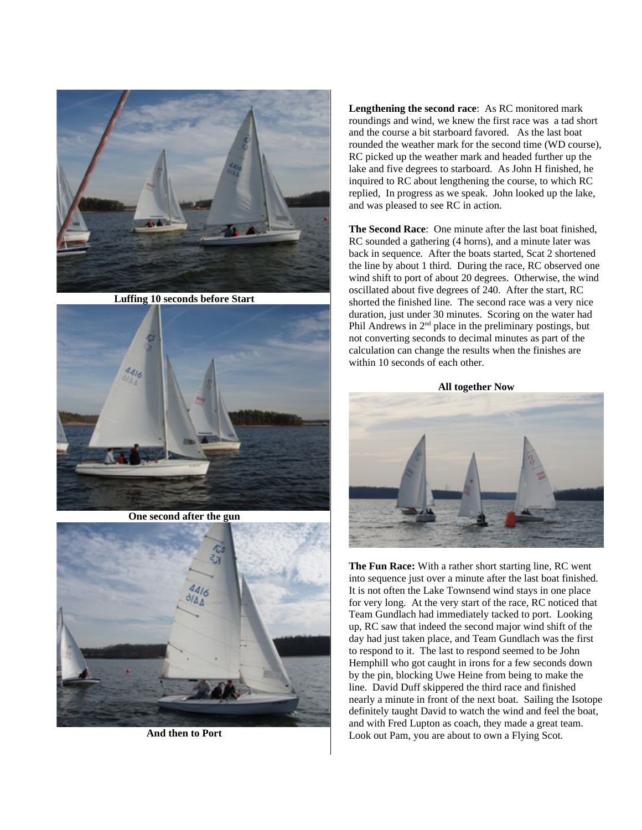

**Luffing 10 seconds before Start**



**One second after the gun**



**And then to Port**

**Lengthening the second race**: As RC monitored mark roundings and wind, we knew the first race was a tad short and the course a bit starboard favored. As the last boat rounded the weather mark for the second time (WD course), RC picked up the weather mark and headed further up the lake and five degrees to starboard. As John H finished, he inquired to RC about lengthening the course, to which RC replied, In progress as we speak. John looked up the lake, and was pleased to see RC in action.

**The Second Race**: One minute after the last boat finished, RC sounded a gathering (4 horns), and a minute later was back in sequence. After the boats started, Scat 2 shortened the line by about 1 third. During the race, RC observed one wind shift to port of about 20 degrees. Otherwise, the wind oscillated about five degrees of 240. After the start, RC shorted the finished line. The second race was a very nice duration, just under 30 minutes. Scoring on the water had Phil Andrews in  $2<sup>nd</sup>$  place in the preliminary postings, but not converting seconds to decimal minutes as part of the calculation can change the results when the finishes are within 10 seconds of each other.

**All together Now**



**The Fun Race:** With a rather short starting line, RC went into sequence just over a minute after the last boat finished. It is not often the Lake Townsend wind stays in one place for very long. At the very start of the race, RC noticed that Team Gundlach had immediately tacked to port. Looking up, RC saw that indeed the second major wind shift of the day had just taken place, and Team Gundlach was the first to respond to it. The last to respond seemed to be John Hemphill who got caught in irons for a few seconds down by the pin, blocking Uwe Heine from being to make the line. David Duff skippered the third race and finished nearly a minute in front of the next boat. Sailing the Isotope definitely taught David to watch the wind and feel the boat, and with Fred Lupton as coach, they made a great team. Look out Pam, you are about to own a Flying Scot.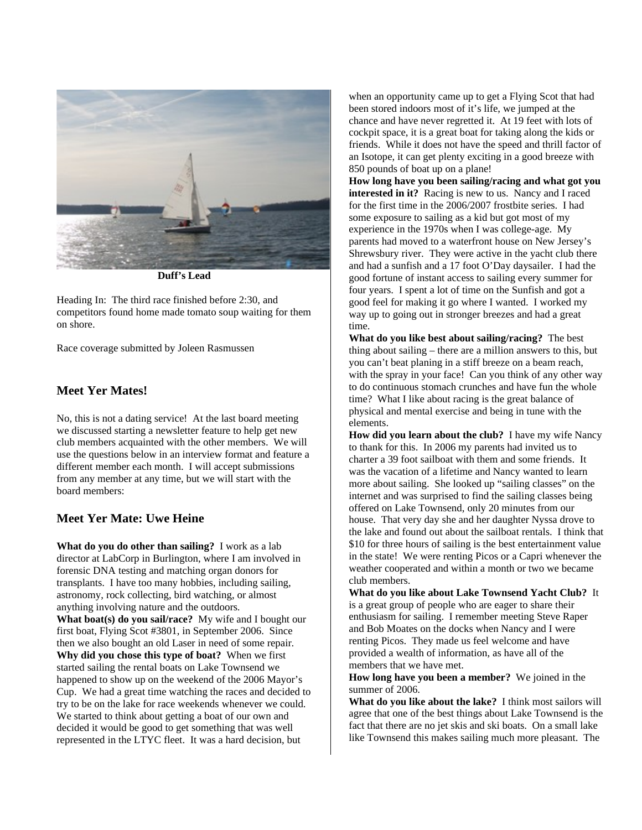

**Duff's Lead**

Heading In: The third race finished before 2:30, and competitors found home made tomato soup waiting for them on shore.

Race coverage submitted by Joleen Rasmussen

#### **Meet Yer Mates!**

No, this is not a dating service! At the last board meeting we discussed starting a newsletter feature to help get new club members acquainted with the other members. We will use the questions below in an interview format and feature a different member each month. I will accept submissions from any member at any time, but we will start with the board members:

### **Meet Yer Mate: Uwe Heine**

**What do you do other than sailing?** I work as a lab director at LabCorp in Burlington, where I am involved in forensic DNA testing and matching organ donors for transplants. I have too many hobbies, including sailing, astronomy, rock collecting, bird watching, or almost anything involving nature and the outdoors. **What boat(s) do you sail/race?** My wife and I bought our first boat, Flying Scot #3801, in September 2006. Since then we also bought an old Laser in need of some repair. **Why did you chose this type of boat?** When we first started sailing the rental boats on Lake Townsend we happened to show up on the weekend of the 2006 Mayor's Cup. We had a great time watching the races and decided to try to be on the lake for race weekends whenever we could. We started to think about getting a boat of our own and decided it would be good to get something that was well represented in the LTYC fleet. It was a hard decision, but

when an opportunity came up to get a Flying Scot that had been stored indoors most of it's life, we jumped at the chance and have never regretted it. At 19 feet with lots of cockpit space, it is a great boat for taking along the kids or friends. While it does not have the speed and thrill factor of an Isotope, it can get plenty exciting in a good breeze with 850 pounds of boat up on a plane!

**How long have you been sailing/racing and what got you interested in it?** Racing is new to us. Nancy and I raced for the first time in the 2006/2007 frostbite series. I had some exposure to sailing as a kid but got most of my experience in the 1970s when I was college-age. My parents had moved to a waterfront house on New Jersey's Shrewsbury river. They were active in the yacht club there and had a sunfish and a 17 foot O'Day daysailer. I had the good fortune of instant access to sailing every summer for four years. I spent a lot of time on the Sunfish and got a good feel for making it go where I wanted. I worked my way up to going out in stronger breezes and had a great time.

**What do you like best about sailing/racing?** The best thing about sailing – there are a million answers to this, but you can't beat planing in a stiff breeze on a beam reach, with the spray in your face! Can you think of any other way to do continuous stomach crunches and have fun the whole time? What I like about racing is the great balance of physical and mental exercise and being in tune with the elements.

**How did you learn about the club?** I have my wife Nancy to thank for this. In 2006 my parents had invited us to charter a 39 foot sailboat with them and some friends. It was the vacation of a lifetime and Nancy wanted to learn more about sailing. She looked up "sailing classes" on the internet and was surprised to find the sailing classes being offered on Lake Townsend, only 20 minutes from our house. That very day she and her daughter Nyssa drove to the lake and found out about the sailboat rentals. I think that \$10 for three hours of sailing is the best entertainment value in the state! We were renting Picos or a Capri whenever the weather cooperated and within a month or two we became club members.

**What do you like about Lake Townsend Yacht Club?** It is a great group of people who are eager to share their enthusiasm for sailing. I remember meeting Steve Raper and Bob Moates on the docks when Nancy and I were renting Picos. They made us feel welcome and have provided a wealth of information, as have all of the members that we have met.

**How long have you been a member?** We joined in the summer of 2006.

**What do you like about the lake?** I think most sailors will agree that one of the best things about Lake Townsend is the fact that there are no jet skis and ski boats. On a small lake like Townsend this makes sailing much more pleasant. The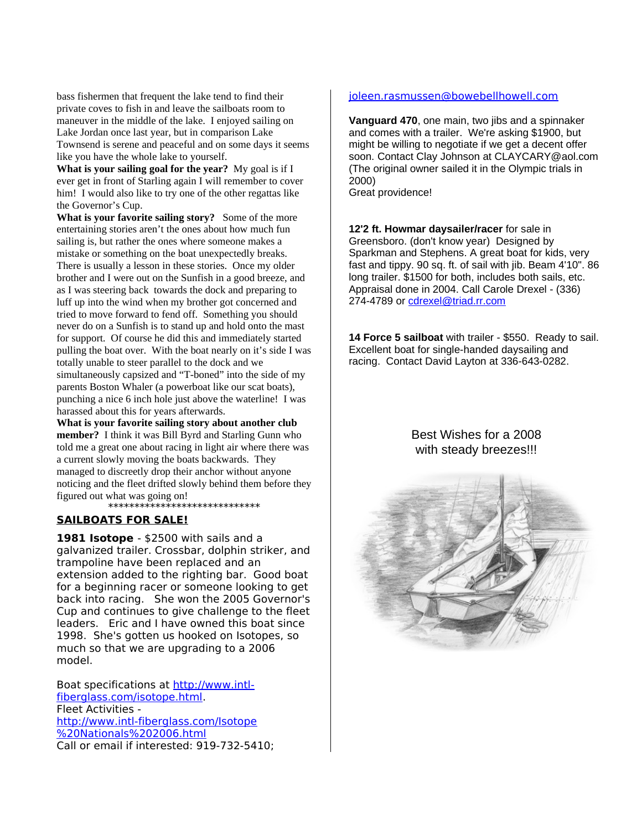bass fishermen that frequent the lake tend to find their private coves to fish in and leave the sailboats room to maneuver in the middle of the lake. I enjoyed sailing on Lake Jordan once last year, but in comparison Lake Townsend is serene and peaceful and on some days it seems like you have the whole lake to yourself.

**What is your sailing goal for the year?** My goal is if I ever get in front of Starling again I will remember to cover him! I would also like to try one of the other regattas like the Governor's Cup.

**What is your favorite sailing story?** Some of the more entertaining stories aren't the ones about how much fun sailing is, but rather the ones where someone makes a mistake or something on the boat unexpectedly breaks. There is usually a lesson in these stories. Once my older brother and I were out on the Sunfish in a good breeze, and as I was steering back towards the dock and preparing to luff up into the wind when my brother got concerned and tried to move forward to fend off. Something you should never do on a Sunfish is to stand up and hold onto the mast for support. Of course he did this and immediately started pulling the boat over. With the boat nearly on it's side I was totally unable to steer parallel to the dock and we simultaneously capsized and "T-boned" into the side of my parents Boston Whaler (a powerboat like our scat boats), punching a nice 6 inch hole just above the waterline! I was harassed about this for years afterwards.

**What is your favorite sailing story about another club member?** I think it was Bill Byrd and Starling Gunn who told me a great one about racing in light air where there was a current slowly moving the boats backwards. They managed to discreetly drop their anchor without anyone noticing and the fleet drifted slowly behind them before they figured out what was going on! \*\*\*\*\*\*\*\*\*\*\*\*\*\*\*\*\*\*\*\*\*\*\*\*\*\*\*\*\*

### **SAILBOATS FOR SALE!**

**1981 Isotope** - \$2500 with sails and a galvanized trailer. Crossbar, dolphin striker, and trampoline have been replaced and an extension added to the righting bar. Good boat for a beginning racer or someone looking to get back into racing. She won the 2005 Governor's Cup and continues to give challenge to the fleet leaders. Eric and I have owned this boat since 1998. She's gotten us hooked on Isotopes, so much so that we are upgrading to a 2006 model.

Boat specifications at [http://www.intl](http://www.intl-fiberglass.com/isotope.html)[fiberglass.com/isotope.html.](http://www.intl-fiberglass.com/isotope.html) Fleet Activities [http://www.intl-fiberglass.com/Isotope](http://www.intl-fiberglass.com/Isotope%20Nationals%202006.html) [%20Nationals%202006.html](http://www.intl-fiberglass.com/Isotope%20Nationals%202006.html) Call or email if interested: 919-732-5410;

#### [joleen.rasmussen@bowebellhowell.com](mailto:joleen.rasmussen@bowebellhowell.com)

**Vanguard 470**, one main, two jibs and a spinnaker and comes with a trailer. We're asking \$1900, but might be willing to negotiate if we get a decent offer soon. Contact Clay Johnson at CLAYCARY@aol.com (The original owner sailed it in the Olympic trials in 2000) Great providence!

**12'2 ft. Howmar daysailer/racer** for sale in Greensboro. (don't know year) Designed by Sparkman and Stephens. A great boat for kids, very fast and tippy. 90 sq. ft. of sail with jib. Beam 4'10". 86 long trailer. \$1500 for both, includes both sails, etc. Appraisal done in 2004. Call Carole Drexel - (336) 274-4789 or [cdrexel@triad.rr.com](mailto:cdrexel@triad.rr.com)

**14 Force 5 sailboat** with trailer - \$550. Ready to sail. Excellent boat for single-handed daysailing and racing. Contact David Layton at 336-643-0282.

### Best Wishes for a 2008 with steady breezes!!!

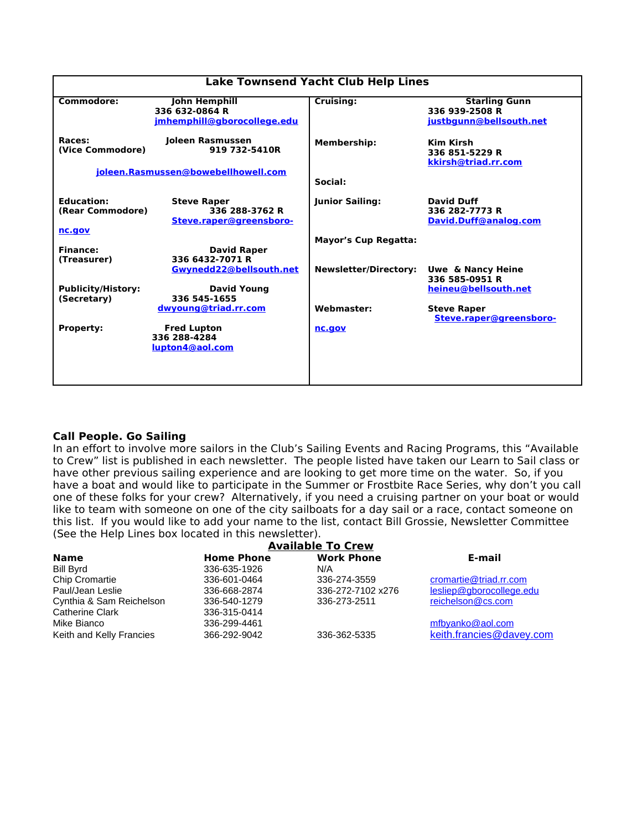| <b>Lake Townsend Yacht Club Help Lines</b>      |                                                                          |                              |                                                                   |  |  |  |  |  |  |  |
|-------------------------------------------------|--------------------------------------------------------------------------|------------------------------|-------------------------------------------------------------------|--|--|--|--|--|--|--|
| Commodore:                                      | <b>John Hemphill</b><br>336 632-0864 R<br>jmhemphill@gborocollege.edu    | Cruising:                    | <b>Starling Gunn</b><br>336 939-2508 R<br>justbgunn@bellsouth.net |  |  |  |  |  |  |  |
| Races:<br>(Vice Commodore)                      | Joleen Rasmussen<br>919 732-5410R<br>joleen.Rasmussen@bowebellhowell.com | <b>Membership:</b>           | Kim Kirsh<br>336 851-5229 R<br>kkirsh@triad.rr.com                |  |  |  |  |  |  |  |
|                                                 |                                                                          | Social:                      |                                                                   |  |  |  |  |  |  |  |
| <b>Education:</b><br>(Rear Commodore)<br>nc.gov | <b>Steve Raper</b><br>336 288-3762 R<br>Steve.raper@greensboro-          | <b>Junior Sailing:</b>       | <b>David Duff</b><br>336 282-7773 R<br>David.Duff@analog.com      |  |  |  |  |  |  |  |
|                                                 |                                                                          | <b>Mayor's Cup Regatta:</b>  |                                                                   |  |  |  |  |  |  |  |
| <b>Finance:</b><br>(Treasurer)                  | <b>David Raper</b><br>336 6432-7071 R                                    |                              |                                                                   |  |  |  |  |  |  |  |
|                                                 | Gwynedd22@bellsouth.net                                                  | <b>Newsletter/Directory:</b> | <b>Uwe &amp; Nancy Heine</b><br>336 585-0951 R                    |  |  |  |  |  |  |  |
| <b>Publicity/History:</b><br>(Secretary)        | <b>David Young</b><br>336 545-1655                                       |                              | heineu@bellsouth.net                                              |  |  |  |  |  |  |  |
|                                                 | dwyoung@triad.rr.com                                                     | <b>Webmaster:</b>            | <b>Steve Raper</b><br>Steve.raper@greensboro-                     |  |  |  |  |  |  |  |
| <b>Property:</b>                                | <b>Fred Lupton</b><br>336 288-4284<br>lupton4@aol.com                    | nc.gov                       |                                                                   |  |  |  |  |  |  |  |
|                                                 |                                                                          |                              |                                                                   |  |  |  |  |  |  |  |

#### **Call People. Go Sailing**

In an effort to involve more sailors in the Club's Sailing Events and Racing Programs, this "Available to Crew" list is published in each newsletter. The people listed have taken our Learn to Sail class or have other previous sailing experience and are looking to get more time on the water. So, if you have a boat and would like to participate in the Summer or Frostbite Race Series, why don't you call one of these folks for your crew? Alternatively, if you need a cruising partner on your boat or would like to team with someone on one of the city sailboats for a day sail or a race, contact someone on this list. If you would like to add your name to the list, contact Bill Grossie, Newsletter Committee (See the Help Lines box located in this newsletter).

| <b>Available To Crew</b> |                   |                   |                          |  |  |  |  |  |
|--------------------------|-------------------|-------------------|--------------------------|--|--|--|--|--|
| <b>Name</b>              | <b>Home Phone</b> | <b>Work Phone</b> | E-mail                   |  |  |  |  |  |
| Bill Byrd                | 336-635-1926      | N/A               |                          |  |  |  |  |  |
| Chip Cromartie           | 336-601-0464      | 336-274-3559      | cromartie@triad.rr.com   |  |  |  |  |  |
| Paul/Jean Leslie         | 336-668-2874      | 336-272-7102 x276 | lesliep@gborocollege.edu |  |  |  |  |  |
| Cynthia & Sam Reichelson | 336-540-1279      | 336-273-2511      | reichelson@cs.com        |  |  |  |  |  |
| Catherine Clark          | 336-315-0414      |                   |                          |  |  |  |  |  |
| Mike Bianco              | 336-299-4461      |                   | mfbyanko@aol.com         |  |  |  |  |  |
| Keith and Kelly Francies | 366-292-9042      | 336-362-5335      | keith.francies@davey.com |  |  |  |  |  |